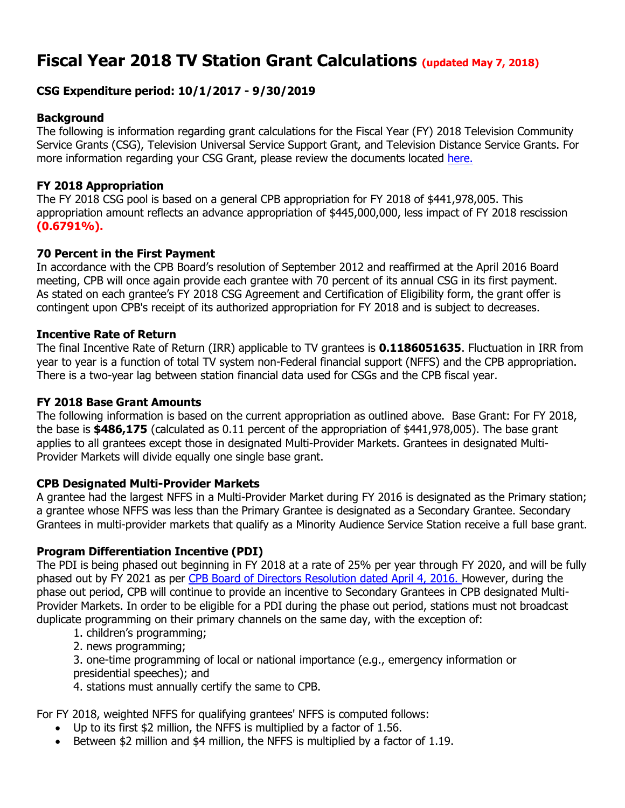# **Fiscal Year 2018 TV Station Grant Calculations (updated May 7, 2018)**

# **CSG Expenditure period: 10/1/2017 - 9/30/2019**

# **Background**

The following is information regarding grant calculations for the Fiscal Year (FY) 2018 Television Community Service Grants (CSG), Television Universal Service Support Grant, and Television Distance Service Grants. For more information regarding your CSG Grant, please review the documents located [here.](https://www.cpb.org/stations)

# **FY 2018 Appropriation**

The FY 2018 CSG pool is based on a general CPB appropriation for FY 2018 of \$441,978,005. This appropriation amount reflects an advance appropriation of \$445,000,000, less impact of FY 2018 rescission **(0.6791%).**

# **70 Percent in the First Payment**

In accordance with the CPB Board's resolution of September 2012 and reaffirmed at the April 2016 Board meeting, CPB will once again provide each grantee with 70 percent of its annual CSG in its first payment. As stated on each grantee's FY 2018 CSG Agreement and Certification of Eligibility form, the grant offer is contingent upon CPB's receipt of its authorized appropriation for FY 2018 and is subject to decreases.

#### **Incentive Rate of Return**

The final Incentive Rate of Return (IRR) applicable to TV grantees is **0.1186051635**. Fluctuation in IRR from year to year is a function of total TV system non-Federal financial support (NFFS) and the CPB appropriation. There is a two-year lag between station financial data used for CSGs and the CPB fiscal year.

### **FY 2018 Base Grant Amounts**

The following information is based on the current appropriation as outlined above. Base Grant: For FY 2018, the base is **\$486,175** (calculated as 0.11 percent of the appropriation of \$441,978,005). The base grant applies to all grantees except those in designated Multi-Provider Markets. Grantees in designated Multi-Provider Markets will divide equally one single base grant.

#### **CPB Designated Multi-Provider Markets**

A grantee had the largest NFFS in a Multi-Provider Market during FY 2016 is designated as the Primary station; a grantee whose NFFS was less than the Primary Grantee is designated as a Secondary Grantee. Secondary Grantees in multi-provider markets that qualify as a Minority Audience Service Station receive a full base grant.

# **Program Differentiation Incentive (PDI)**

The PDI is being phased out beginning in FY 2018 at a rate of 25% per year through FY 2020, and will be fully phased out by FY 2021 as per [CPB Board of Directors Resolution dated April 4, 2016. H](https://www.cpb.org/aboutcpb/leadership/board/resolutions?date_filter%5Bvalue%5D%5Byear%5D=2016&field_cpb_related_board_tags_tid=745&=Apply)owever, during the phase out period, CPB will continue to provide an incentive to Secondary Grantees in CPB designated Multi-Provider Markets. In order to be eligible for a PDI during the phase out period, stations must not broadcast duplicate programming on their primary channels on the same day, with the exception of:

- 1. children's programming;
- 2. news programming;

3. one-time programming of local or national importance (e.g., emergency information or presidential speeches); and

4. stations must annually certify the same to CPB.

For FY 2018, weighted NFFS for qualifying grantees' NFFS is computed follows:

- Up to its first \$2 million, the NFFS is multiplied by a factor of 1.56.
- Between \$2 million and \$4 million, the NFFS is multiplied by a factor of 1.19.